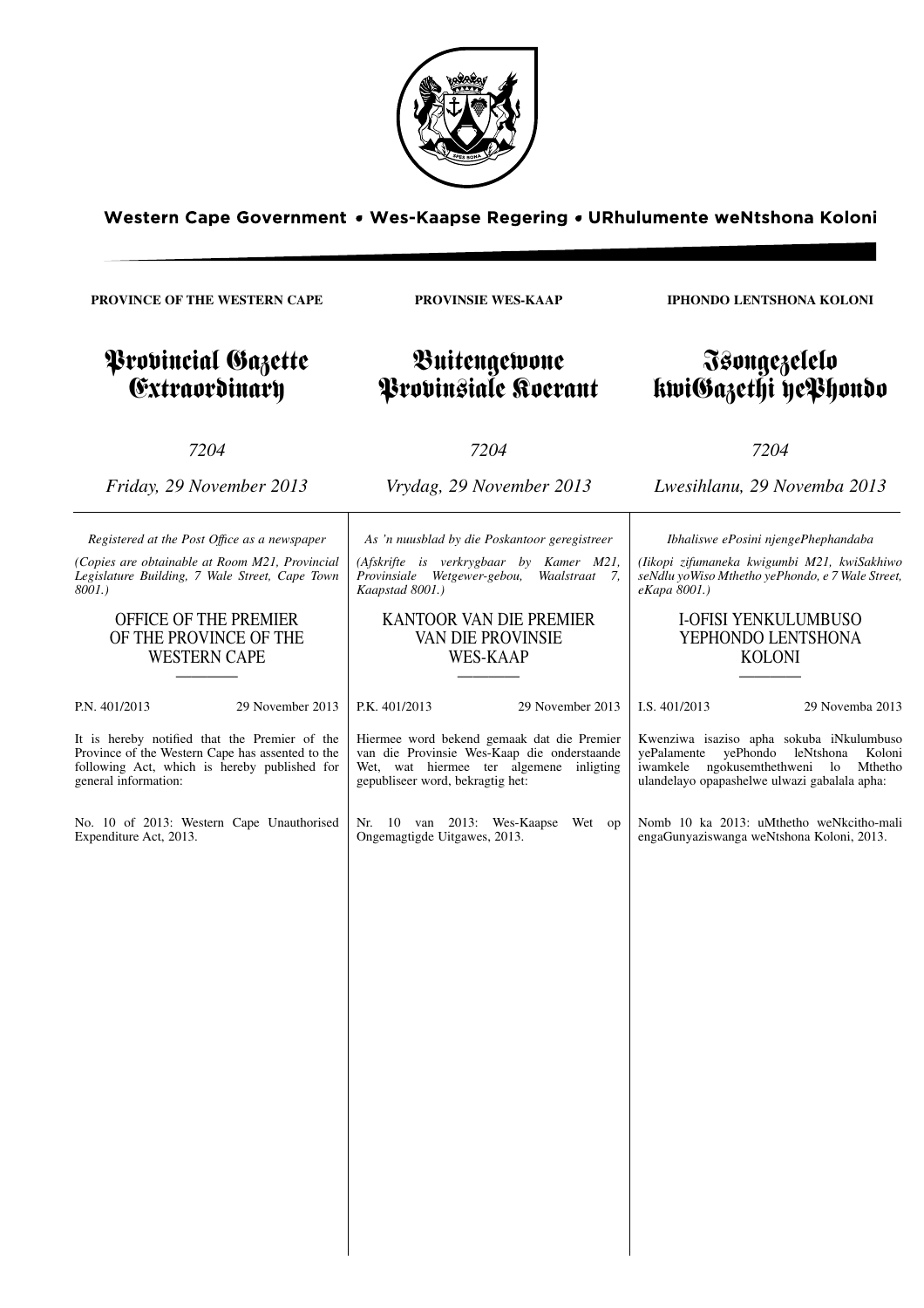

Western Cape Government . Wes-Kaapse Regering . URhulumente weNtshona Koloni

**PROVINCE OF THE WESTERN CAPE**

**PROVINSIE WES-KAAP**

Buitengewone Provinsiale Koerant

### Provincial Gazette **Extraordinary**

*7204*

*Registered at the Post Offıce as a newspaper (Copies are obtainable at Room M21, Provincial Legislature Building, 7 Wale Street, Cape Town*

> OFFICE OF THE PREMIER OF THE PROVINCE OF THE WESTERN CAPE ————

*8001.)*

*Friday, 29 November 2013*

*Vrydag, 29 November 2013*

*7204*

*As 'n nuusblad by die Poskantoor geregistreer*

*(Afskrifte is verkrygbaar by Kamer M21, Provinsiale Wetgewer-gebou, Waalstraat 7, Kaapstad 8001.)*

### KANTOOR VAN DIE PREMIER VAN DIE PROVINSIE WES-KAAP

————

**IPHONDO LENTSHONA KOLONI**

### Isongezelelo kwiGazethi yePhondo

*7204*

*Lwesihlanu, 29 Novemba 2013*

*Ibhaliswe ePosini njengePhephandaba*

*(Iikopi zifumaneka kwigumbi M21, kwiSakhiwo seNdlu yoWiso Mthetho yePhondo, e 7 Wale Street, eKapa 8001.)*

### I-OFISI YENKULUMBUSO YEPHONDO LENTSHONA KOLONI

————

| P.N. 401/2013                                                                                                                                                             | 29 November 2013 | P.K. 401/2013                                                                                                                                                            | 29 November 2013 | I.S. 401/2013                                                                                                                                           | 29 Novemba 2013                |
|---------------------------------------------------------------------------------------------------------------------------------------------------------------------------|------------------|--------------------------------------------------------------------------------------------------------------------------------------------------------------------------|------------------|---------------------------------------------------------------------------------------------------------------------------------------------------------|--------------------------------|
| It is hereby notified that the Premier of the<br>Province of the Western Cape has assented to the<br>following Act, which is hereby published for<br>general information: |                  | Hiermee word bekend gemaak dat die Premier<br>van die Provinsie Wes-Kaap die onderstaande<br>Wet, wat hiermee ter algemene inligting<br>gepubliseer word, bekragtig het: |                  | Kwenziwa isaziso apha sokuba iNkulumbuso<br>yePhondo<br>vePalamente<br>iwamkele<br>ngokusemthethweni lo<br>ulandelayo opapashelwe ulwazi gabalala apha: | leNtshona<br>Koloni<br>Mthetho |
| No. 10 of 2013: Western Cape Unauthorised<br>Expenditure Act, 2013.                                                                                                       |                  | Nr. 10 van 2013: Wes-Kaapse Wet op<br>Ongemagtigde Uitgawes, 2013.                                                                                                       |                  | Nomb 10 ka 2013: uMthetho weNkcitho-mali<br>engaGunyaziswanga weNtshona Koloni, 2013.                                                                   |                                |
|                                                                                                                                                                           |                  |                                                                                                                                                                          |                  |                                                                                                                                                         |                                |
|                                                                                                                                                                           |                  |                                                                                                                                                                          |                  |                                                                                                                                                         |                                |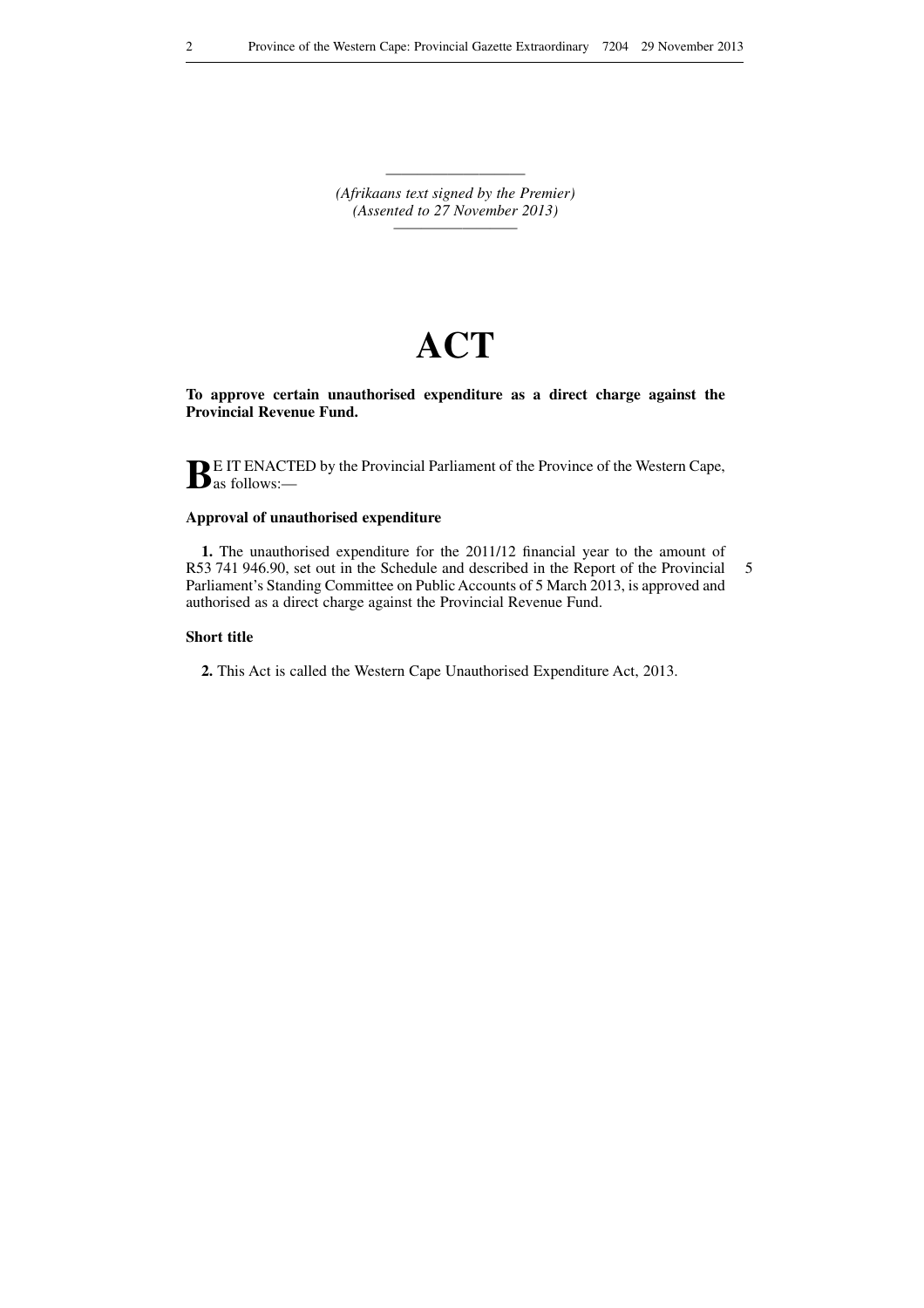———————————————————— *(Afrikaans text signed by the Premier) (Assented to 27 November 2013) —————————*

# **ACT**

**To approve certain unauthorised expenditure as a direct charge against the Provincial Revenue Fund.**

**BE** IT ENACTED by the Provincial Parliament of the Province of the Western Cape, as follows:—

### **Approval of unauthorised expenditure**

**1.** The unauthorised expenditure for the 2011/12 financial year to the amount of R53 741 946.90, set out in the Schedule and described in the Report of the Provincial Parliament's Standing Committee on Public Accounts of 5 March 2013, is approved and authorised as a direct charge against the Provincial Revenue Fund. 5

### **Short title**

**2.** This Act is called the Western Cape Unauthorised Expenditure Act, 2013.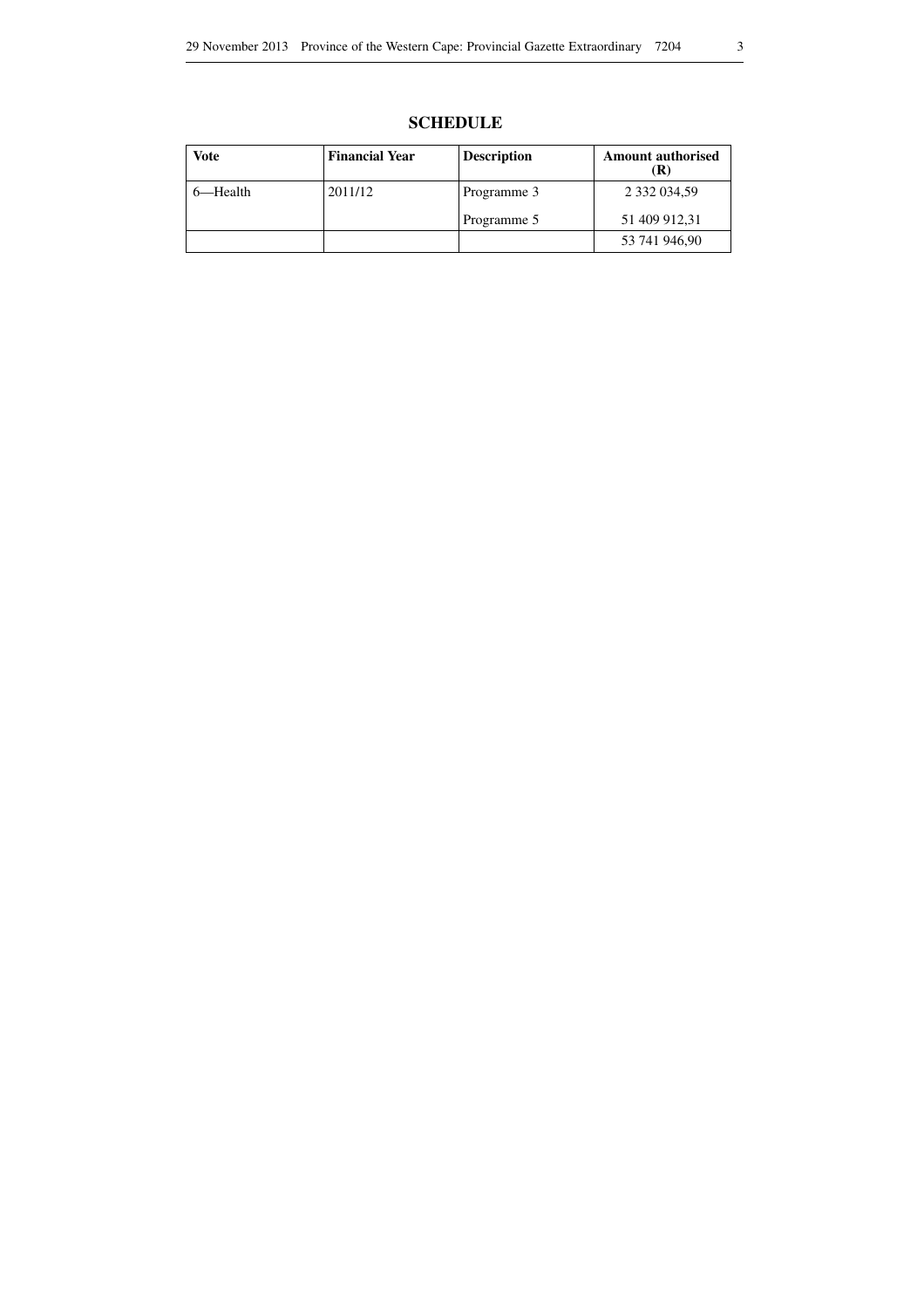| <b>SCHEDULE</b> |
|-----------------|
|-----------------|

| Vote    | <b>Financial Year</b> | <b>Description</b> | <b>Amount authorised</b> |
|---------|-----------------------|--------------------|--------------------------|
| —Health | 2011/12               | Programme 3        | 2 332 034,59             |
|         |                       | Programme 5        | 51 409 912,31            |
|         |                       |                    | 53 741 946,90            |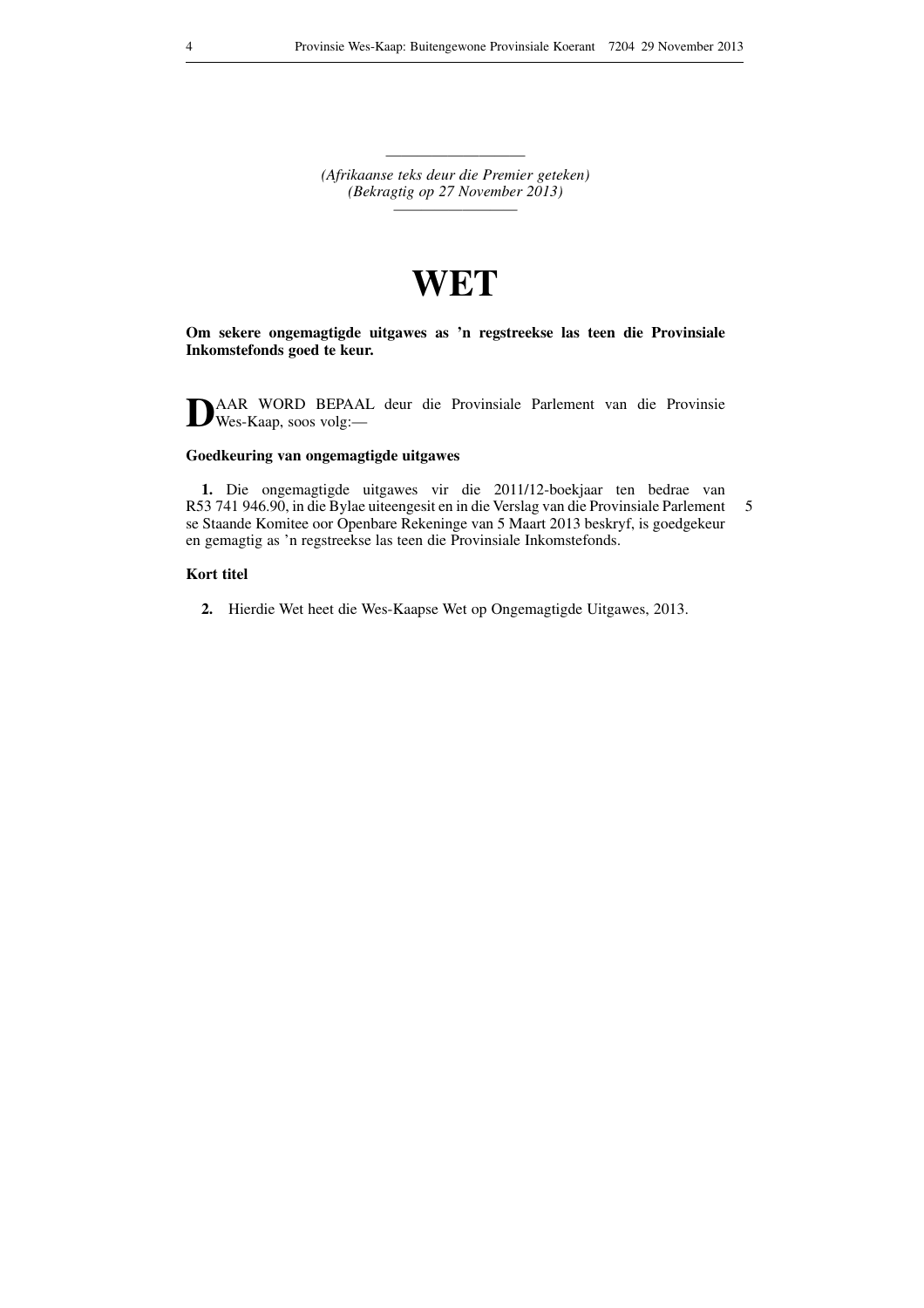———————————————————— *(Afrikaanse teks deur die Premier geteken) (Bekragtig op 27 November 2013) —————————*

## **WET**

**Om sekere ongemagtigde uitgawes as 'n regstreekse las teen die Provinsiale Inkomstefonds goed te keur.**

**D**AAR WORD BEPAAL deur die Provinsiale Parlement van die Provinsie  $\sum_{\text{Wes-Kaap, soos volg}}^{A A A R}$ 

### **Goedkeuring van ongemagtigde uitgawes**

**1.** Die ongemagtigde uitgawes vir die 2011/12-boekjaar ten bedrae van R53 741 946.90, in die Bylae uiteengesit en in die Verslag van die Provinsiale Parlement se Staande Komitee oor Openbare Rekeninge van 5 Maart 2013 beskryf, is goedgekeur en gemagtig as 'n regstreekse las teen die Provinsiale Inkomstefonds. 5

### **Kort titel**

**2.** Hierdie Wet heet die Wes-Kaapse Wet op Ongemagtigde Uitgawes, 2013.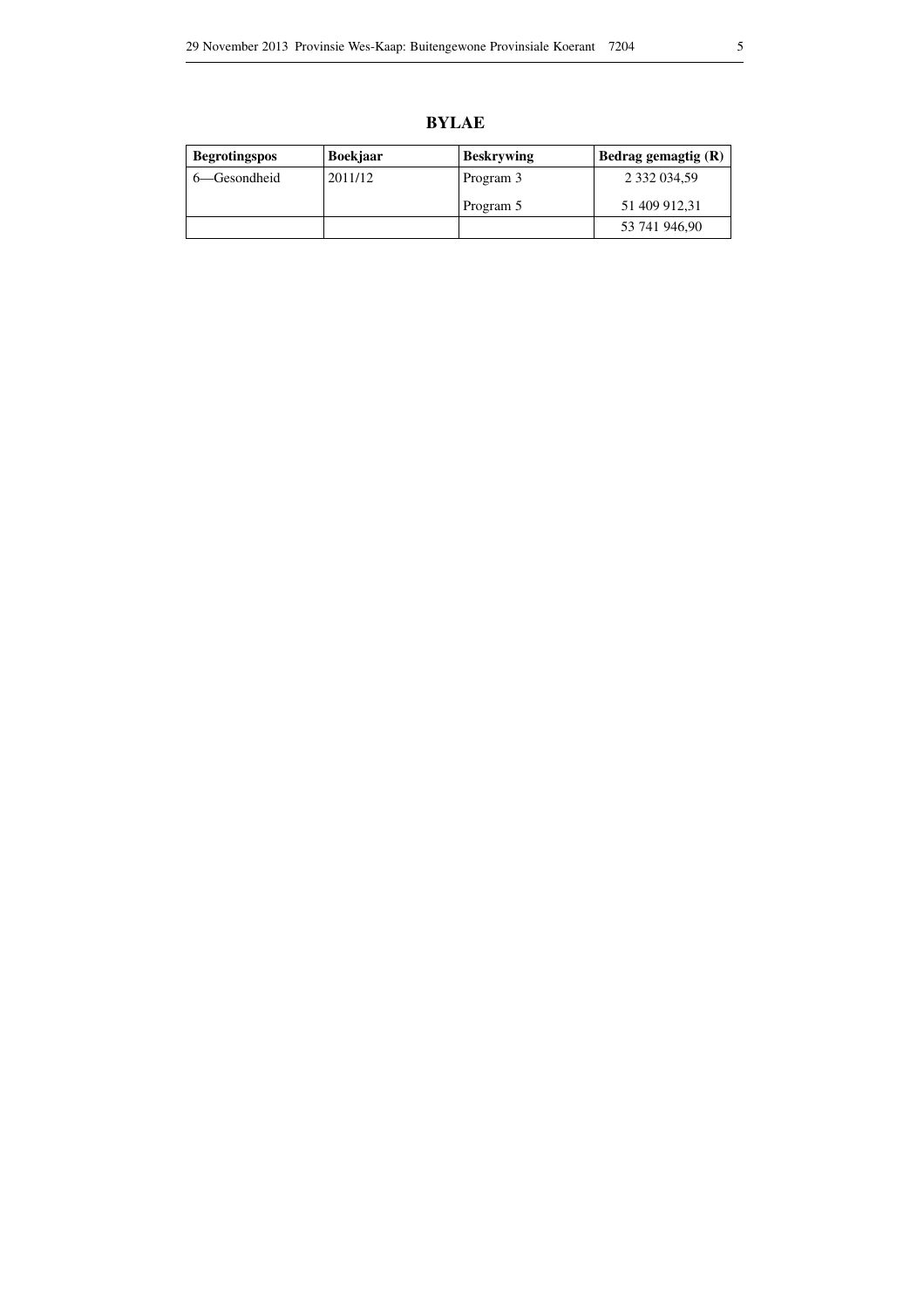**BYLAE**

| <b>Begrotingspos</b> | <b>Boekjaar</b> | <b>Beskrywing</b> | Bedrag gemagtig $(R)$ |
|----------------------|-----------------|-------------------|-----------------------|
| 6—Gesondheid         | 2011/12         | Program 3         | 2 332 034,59          |
|                      |                 | Program 5         | 51 409 912,31         |
|                      |                 |                   | 53 741 946,90         |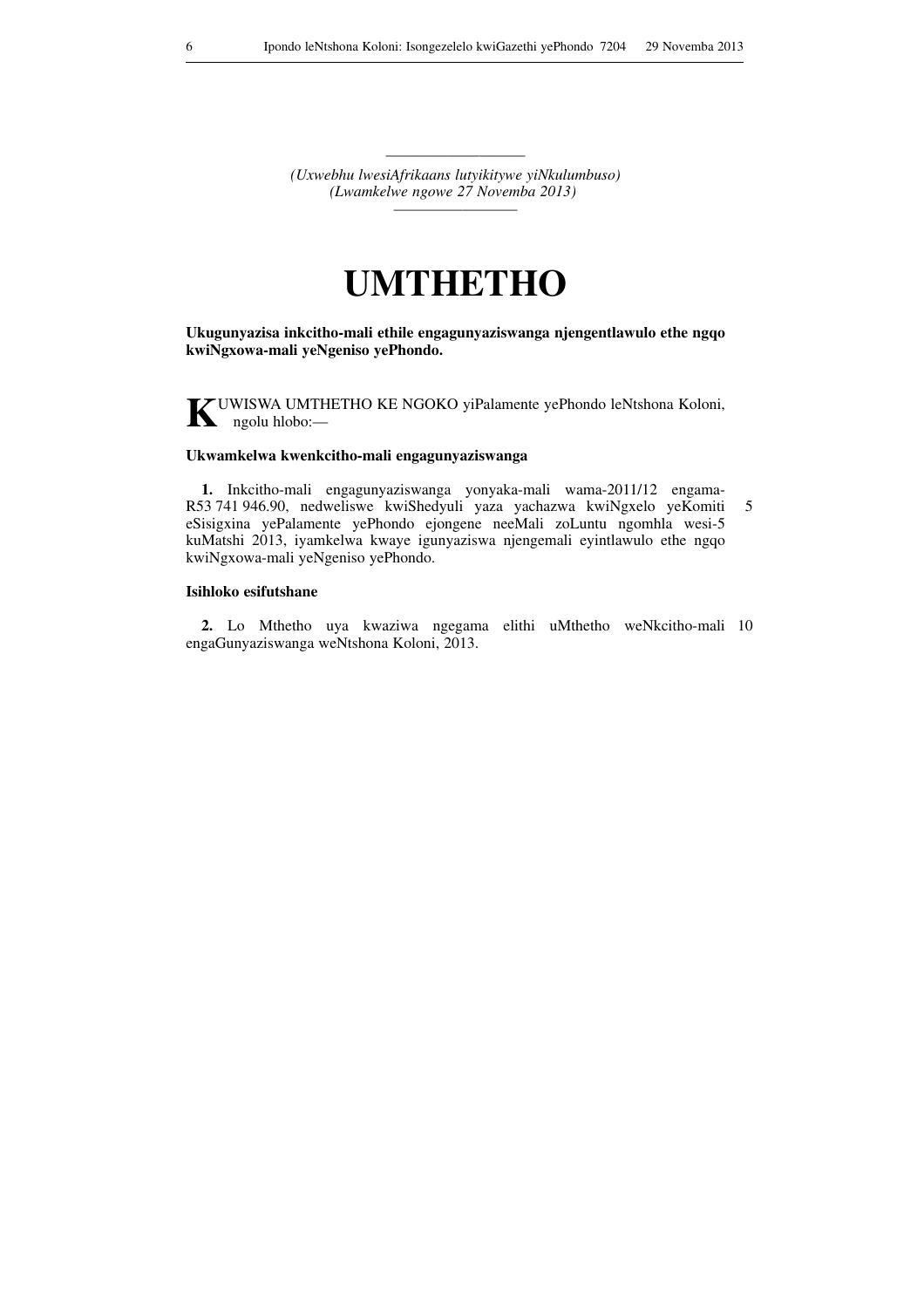———————————————————— *(Uxwebhu lwesiAfrikaans lutyikitywe yiNkulumbuso) (Lwamkelwe ngowe 27 Novemba 2013) —————————*

## **UMTHETHO**

**Ukugunyazisa inkcitho-mali ethile engagunyaziswanga njengentlawulo ethe ngqo kwiNgxowa-mali yeNgeniso yePhondo.**

**K**UWISWA UMTHETHO KE NGOKO yiPalamente yePhondo leNtshona Koloni, ngolu hlobo:—

#### **Ukwamkelwa kwenkcitho-mali engagunyaziswanga**

**1.** Inkcitho-mali engagunyaziswanga yonyaka-mali wama-2011/12 engama-R53 741 946.90, nedweliswe kwiShedyuli yaza yachazwa kwiNgxelo yeKomiti eSisigxina yePalamente yePhondo ejongene neeMali zoLuntu ngomhla wesi-5 kuMatshi 2013, iyamkelwa kwaye igunyaziswa njengemali eyintlawulo ethe ngqo kwiNgxowa-mali yeNgeniso yePhondo. 5

#### **Isihloko esifutshane**

**2.** Lo Mthetho uya kwaziwa ngegama elithi uMthetho weNkcitho-mali 10 engaGunyaziswanga weNtshona Koloni, 2013.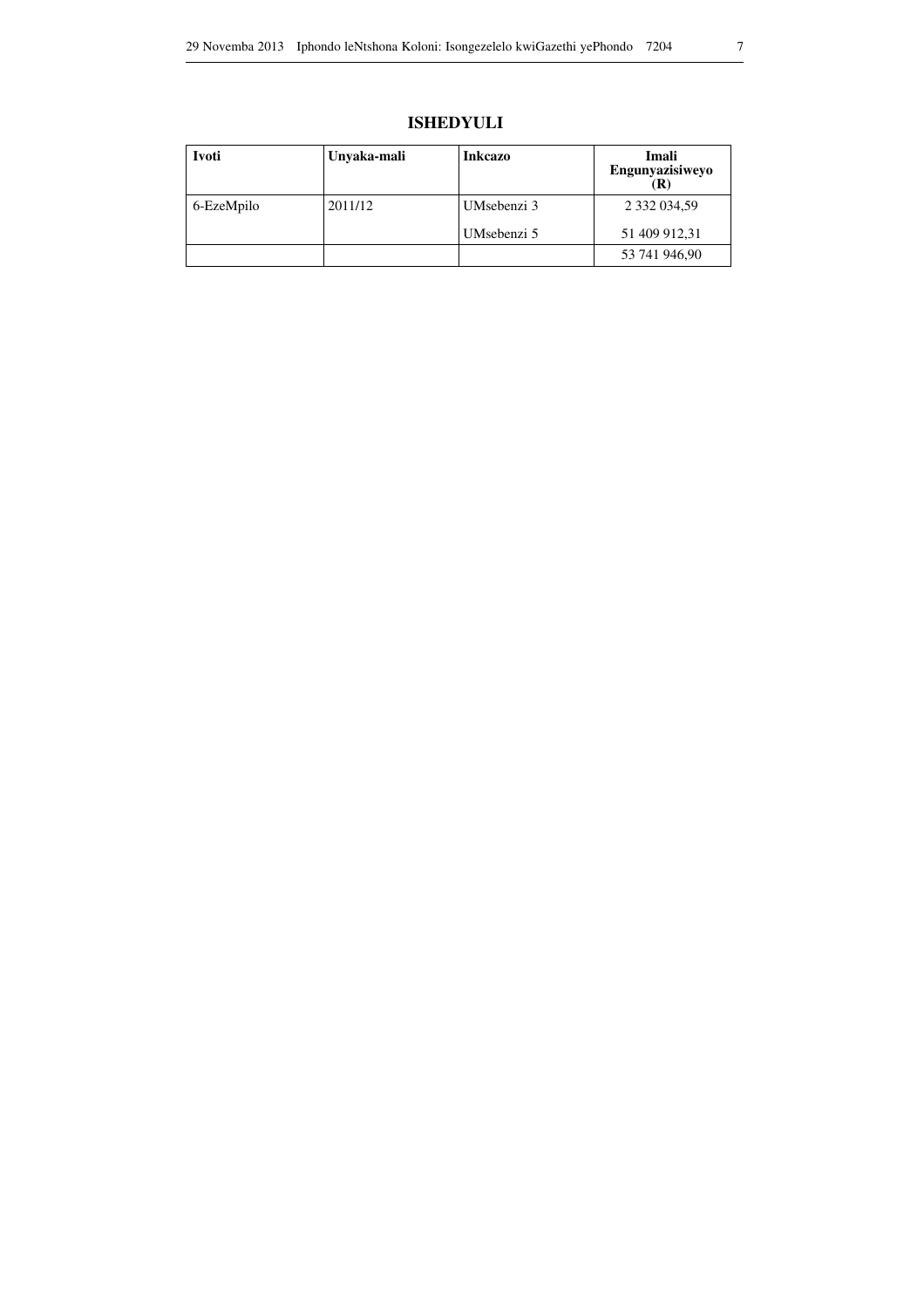### **ISHEDYULI**

| Ivoti      | Unvaka-mali | <b>Inkcazo</b> | Imali<br>Engunyazisiweyo |
|------------|-------------|----------------|--------------------------|
| 6-EzeMpilo | 2011/12     | UMsebenzi 3    | 2 332 034,59             |
|            |             | UMsebenzi 5    | 51 409 912,31            |
|            |             |                | 53 741 946,90            |